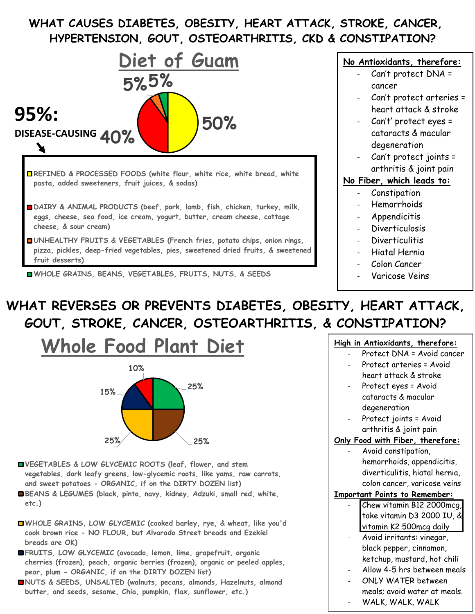## **WHAT CAUSES DIABETES, OBESITY, HEART ATTACK, STROKE, CANCER, HYPERTENSION, GOUT, OSTEOARTHRITIS, CKD & CONSTIPATION?**



**WHOLE GRAINS, BEANS, VEGETABLES, FRUITS, NUTS, & SEEDS**

#### **No Antioxidants, therefore:**

- Can't protect DNA = cancer
- Can't protect arteries = heart attack & stroke
- Can't' protect eyes = cataracts & macular degeneration
- Can't protect joints = arthritis & joint pain

#### **No Fiber, which leads to:**

- Constipation
- Hemorrhoids
- **Appendicitis**
- Diverticulosis
- Diverticulitis
- Hiatal Hernia
- Colon Cancer
- Varicose Veins

# **WHAT REVERSES OR PREVENTS DIABETES, OBESITY, HEART ATTACK, GOUT, STROKE, CANCER, OSTEOARTHRITIS, & CONSTIPATION?**



- **VEGETABLES & LOW GLYCEMIC ROOTS (leaf, flower, and stem vegetables, dark leafy greens, low-glycemic roots, like yams, raw carrots, and sweet potatoes - ORGANIC, if on the DIRTY DOZEN list)**
- **BEANS & LEGUMES (black, pinto, navy, kidney, Adzuki, small red, white, etc.)**
- **WHOLE GRAINS, LOW GLYCEMIC (cooked barley, rye, & wheat, like you'd cook brown rice - NO FLOUR, but Alvarado Street breads and Ezekiel breads are OK)**
- **FRUITS, LOW GLYCEMIC (avocado, lemon, lime, grapefruit, organic cherries (frozen), peach, organic berries (frozen), organic or peeled apples, pear, plum - ORGANIC, if on the DIRTY DOZEN list)**
- **NUTS & SEEDS, UNSALTED (walnuts, pecans, almonds, Hazelnuts, almond butter, and seeds, sesame, Chia, pumpkin, flax, sunflower, etc.)**

#### **High in Antioxidants, therefore:**

- Protect DNA = Avoid cancer
- Protect arteries = Avoid heart attack & stroke
- Protect eyes = Avoid cataracts & macular degeneration
- Protect joints = Avoid arthritis & joint pain

### **Only Food with Fiber, therefore:**

Avoid constipation, hemorrhoids, appendicitis, diverticulitis, hiatal hernia, colon cancer, varicose veins

#### **Important Points to Remember:**

- Chew vitamin B12 2000mcg, take vitamin D3 2000 IU, & vitamin K2 500mcg daily
- Avoid irritants: vinegar, black pepper, cinnamon, ketchup, mustard, hot chili
- Allow 4-5 hrs between meals
- ONLY WATER between meals; avoid water at meals. WALK, WALK, WALK